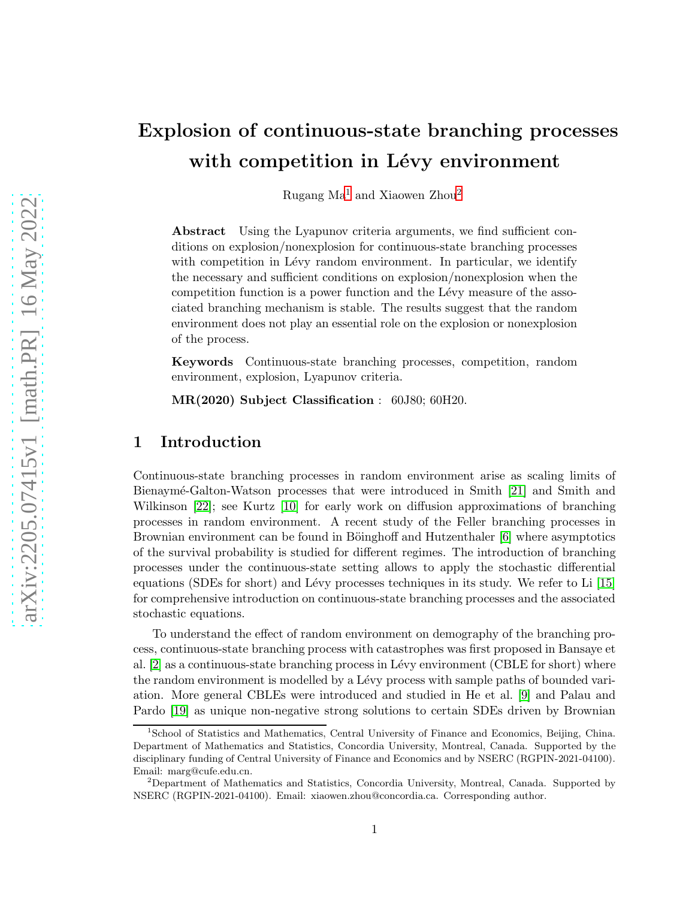# Explosion of continuous-state branching processes with competition in Lévy environment

Rugang  $Ma^1$  $Ma^1$  and Xiaowen Zhou<sup>[2](#page-0-1)</sup>

Abstract Using the Lyapunov criteria arguments, we find sufficient conditions on explosion/nonexplosion for continuous-state branching processes with competition in Lévy random environment. In particular, we identify the necessary and sufficient conditions on explosion/nonexplosion when the competition function is a power function and the Lévy measure of the associated branching mechanism is stable. The results suggest that the random environment does not play an essential role on the explosion or nonexplosion of the process.

Keywords Continuous-state branching processes, competition, random environment, explosion, Lyapunov criteria.

MR(2020) Subject Classification : 60J80; 60H20.

## 1 Introduction

Continuous-state branching processes in random environment arise as scaling limits of Bienaym´e-Galton-Watson processes that were introduced in Smith [\[21\]](#page-13-0) and Smith and Wilkinson [\[22\]](#page-13-1); see Kurtz [\[10\]](#page-12-0) for early work on diffusion approximations of branching processes in random environment. A recent study of the Feller branching processes in Brownian environment can be found in Böinghoff and Hutzenthaler [\[6\]](#page-12-1) where asymptotics of the survival probability is studied for different regimes. The introduction of branching processes under the continuous-state setting allows to apply the stochastic differential equations (SDEs for short) and Lévy processes techniques in its study. We refer to Li  $[15]$ for comprehensive introduction on continuous-state branching processes and the associated stochastic equations.

To understand the effect of random environment on demography of the branching process, continuous-state branching process with catastrophes was first proposed in Bansaye et al.  $[2]$  as a continuous-state branching process in Lévy environment (CBLE for short) where the random environment is modelled by a Lévy process with sample paths of bounded variation. More general CBLEs were introduced and studied in He et al. [\[9\]](#page-12-3) and Palau and Pardo [\[19\]](#page-13-3) as unique non-negative strong solutions to certain SDEs driven by Brownian

<span id="page-0-0"></span><sup>1</sup> School of Statistics and Mathematics, Central University of Finance and Economics, Beijing, China. Department of Mathematics and Statistics, Concordia University, Montreal, Canada. Supported by the disciplinary funding of Central University of Finance and Economics and by NSERC (RGPIN-2021-04100). Email: marg@cufe.edu.cn.

<span id="page-0-1"></span><sup>2</sup>Department of Mathematics and Statistics, Concordia University, Montreal, Canada. Supported by NSERC (RGPIN-2021-04100). Email: xiaowen.zhou@concordia.ca. Corresponding author.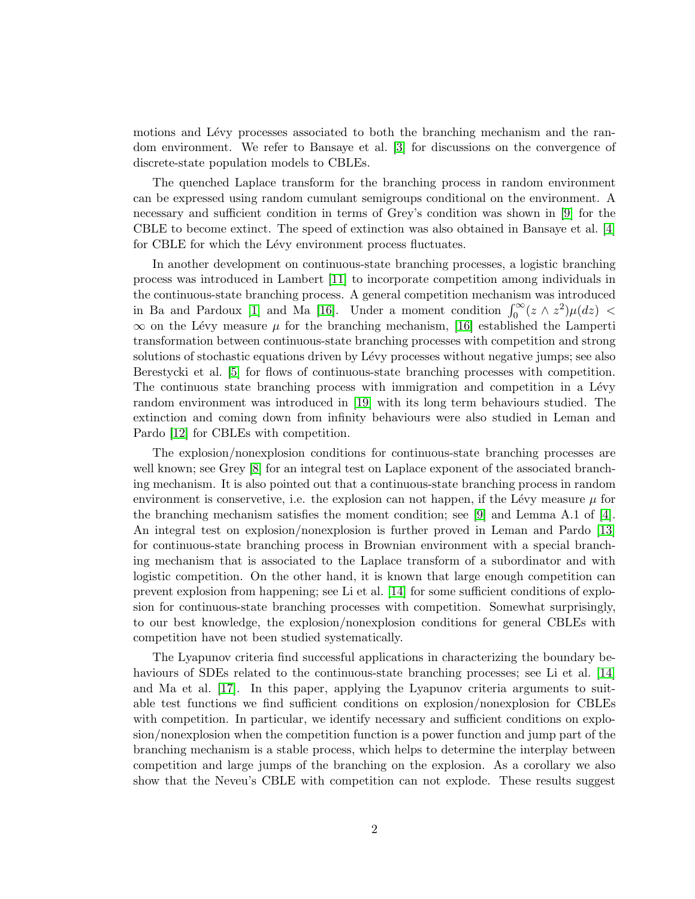motions and Lévy processes associated to both the branching mechanism and the random environment. We refer to Bansaye et al. [\[3\]](#page-12-4) for discussions on the convergence of discrete-state population models to CBLEs.

The quenched Laplace transform for the branching process in random environment can be expressed using random cumulant semigroups conditional on the environment. A necessary and sufficient condition in terms of Grey's condition was shown in [\[9\]](#page-12-3) for the CBLE to become extinct. The speed of extinction was also obtained in Bansaye et al. [\[4\]](#page-12-5) for CBLE for which the Lévy environment process fluctuates.

In another development on continuous-state branching processes, a logistic branching process was introduced in Lambert [\[11\]](#page-12-6) to incorporate competition among individuals in the continuous-state branching process. A general competition mechanism was introduced in Ba and Pardoux [\[1\]](#page-12-7) and Ma [\[16\]](#page-13-4). Under a moment condition  $\int_0^\infty (z \wedge z^2) \mu(dz)$  <  $\infty$  on the Lévy measure  $\mu$  for the branching mechanism, [\[16\]](#page-13-4) established the Lamperti transformation between continuous-state branching processes with competition and strong solutions of stochastic equations driven by Lévy processes without negative jumps; see also Berestycki et al. [\[5\]](#page-12-8) for flows of continuous-state branching processes with competition. The continuous state branching process with immigration and competition in a Lévy random environment was introduced in [\[19\]](#page-13-3) with its long term behaviours studied. The extinction and coming down from infinity behaviours were also studied in Leman and Pardo [\[12\]](#page-12-9) for CBLEs with competition.

The explosion/nonexplosion conditions for continuous-state branching processes are well known; see Grey [\[8\]](#page-12-10) for an integral test on Laplace exponent of the associated branching mechanism. It is also pointed out that a continuous-state branching process in random environment is conservetive, i.e. the explosion can not happen, if the Lévy measure  $\mu$  for the branching mechanism satisfies the moment condition; see [\[9\]](#page-12-3) and Lemma A.1 of [\[4\]](#page-12-5). An integral test on explosion/nonexplosion is further proved in Leman and Pardo [\[13\]](#page-13-5) for continuous-state branching process in Brownian environment with a special branching mechanism that is associated to the Laplace transform of a subordinator and with logistic competition. On the other hand, it is known that large enough competition can prevent explosion from happening; see Li et al. [\[14\]](#page-13-6) for some sufficient conditions of explosion for continuous-state branching processes with competition. Somewhat surprisingly, to our best knowledge, the explosion/nonexplosion conditions for general CBLEs with competition have not been studied systematically.

The Lyapunov criteria find successful applications in characterizing the boundary behaviours of SDEs related to the continuous-state branching processes; see Li et al. [\[14\]](#page-13-6) and Ma et al. [\[17\]](#page-13-7). In this paper, applying the Lyapunov criteria arguments to suitable test functions we find sufficient conditions on explosion/nonexplosion for CBLEs with competition. In particular, we identify necessary and sufficient conditions on explosion/nonexplosion when the competition function is a power function and jump part of the branching mechanism is a stable process, which helps to determine the interplay between competition and large jumps of the branching on the explosion. As a corollary we also show that the Neveu's CBLE with competition can not explode. These results suggest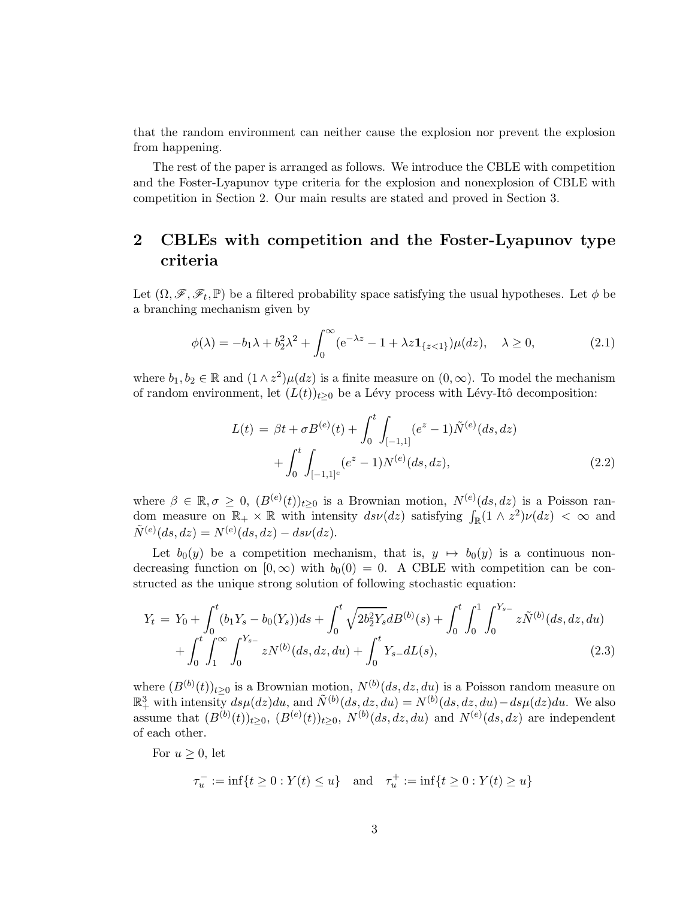that the random environment can neither cause the explosion nor prevent the explosion from happening.

The rest of the paper is arranged as follows. We introduce the CBLE with competition and the Foster-Lyapunov type criteria for the explosion and nonexplosion of CBLE with competition in Section 2. Our main results are stated and proved in Section 3.

## 2 CBLEs with competition and the Foster-Lyapunov type criteria

Let  $(\Omega, \mathscr{F}, \mathscr{F}_t, \mathbb{P})$  be a filtered probability space satisfying the usual hypotheses. Let  $\phi$  be a branching mechanism given by

$$
\phi(\lambda) = -b_1\lambda + b_2^2\lambda^2 + \int_0^\infty (e^{-\lambda z} - 1 + \lambda z \mathbf{1}_{\{z < 1\}})\mu(dz), \quad \lambda \ge 0,\tag{2.1}
$$

where  $b_1, b_2 \in \mathbb{R}$  and  $(1 \wedge z^2)\mu(dz)$  is a finite measure on  $(0, \infty)$ . To model the mechanism of random environment, let  $(L(t))_{t\geq0}$  be a Lévy process with Lévy-Itô decomposition:

$$
L(t) = \beta t + \sigma B^{(e)}(t) + \int_0^t \int_{[-1,1]} (e^z - 1) \tilde{N}^{(e)}(ds, dz) + \int_0^t \int_{[-1,1]^c} (e^z - 1) N^{(e)}(ds, dz), \tag{2.2}
$$

where  $\beta \in \mathbb{R}, \sigma \geq 0$ ,  $(B^{(e)}(t))_{t \geq 0}$  is a Brownian motion,  $N^{(e)}(ds, dz)$  is a Poisson random measure on  $\mathbb{R}_+ \times \mathbb{R}$  with intensity  $ds\nu(dz)$  satisfying  $\int_{\mathbb{R}} (1 \wedge z^2) \nu(dz) < \infty$  and  $\tilde{N}^{(e)}(ds, dz) = N^{(e)}(ds, dz) - ds\nu(dz).$ 

Let  $b_0(y)$  be a competition mechanism, that is,  $y \mapsto b_0(y)$  is a continuous nondecreasing function on  $[0, \infty)$  with  $b_0(0) = 0$ . A CBLE with competition can be constructed as the unique strong solution of following stochastic equation:

<span id="page-2-0"></span>
$$
Y_t = Y_0 + \int_0^t (b_1 Y_s - b_0(Y_s)) ds + \int_0^t \sqrt{2b_2^2 Y_s} dB^{(b)}(s) + \int_0^t \int_0^1 \int_0^{Y_{s-}} z \tilde{N}^{(b)}(ds, dz, du) + \int_0^t \int_1^{\infty} \int_1^{\infty} z N^{(b)}(ds, dz, du) + \int_0^t Y_{s-} dL(s),
$$
\n(2.3)

where  $(B^{(b)}(t))_{t\geq0}$  is a Brownian motion,  $N^{(b)}(ds, dz, du)$  is a Poisson random measure on  $\mathbb{R}^3_+$  with intensity  $ds\mu(dz)du$ , and  $\tilde{N}^{(b)}(ds,dz,du) = N^{(b)}(ds,dz,du) - ds\mu(dz)du$ . We also assume that  $(B^{(b)}(t))_{t\geq0}$ ,  $(B^{(e)}(t))_{t\geq0}$ ,  $N^{(b)}(ds,dz,du)$  and  $N^{(e)}(ds,dz)$  are independent of each other.

For  $u \geq 0$ , let

$$
\tau_u^- := \inf\{t \ge 0 : Y(t) \le u\} \quad \text{and} \quad \tau_u^+ := \inf\{t \ge 0 : Y(t) \ge u\}
$$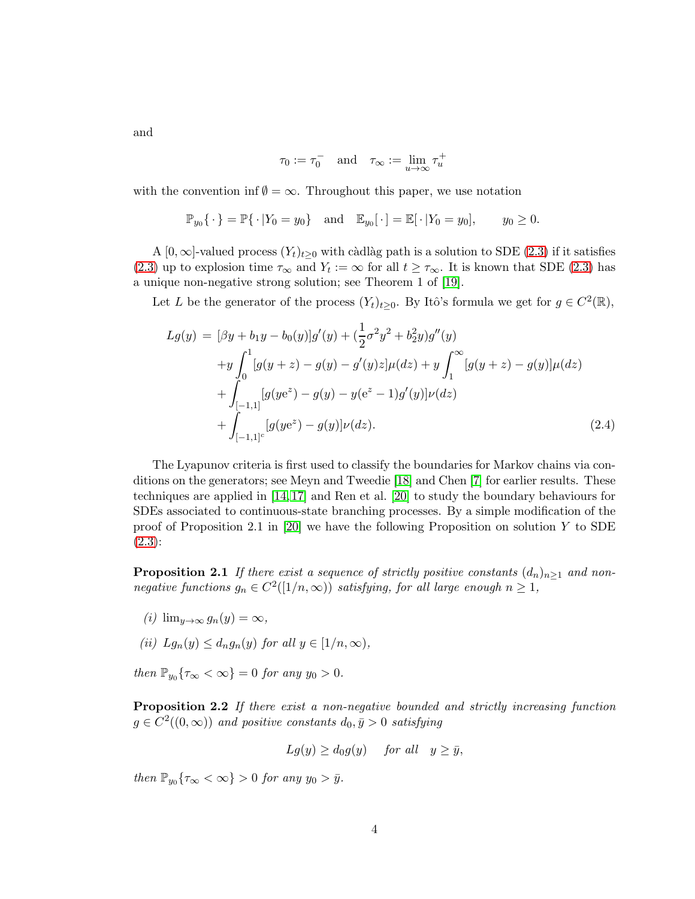and

$$
\tau_0 := \tau_0^- \quad \text{and} \quad \tau_\infty := \lim_{u \to \infty} \tau_u^+
$$

with the convention inf  $\emptyset = \infty$ . Throughout this paper, we use notation

$$
\mathbb{P}_{y_0}\{\cdot\} = \mathbb{P}\{\cdot|Y_0 = y_0\} \text{ and } \mathbb{E}_{y_0}[\cdot] = \mathbb{E}[\cdot|Y_0 = y_0], \quad y_0 \ge 0.
$$

A [0,  $\infty$ ]-valued process  $(Y_t)_{t>0}$  with càdlàg path is a solution to SDE [\(2.3\)](#page-2-0) if it satisfies [\(2.3\)](#page-2-0) up to explosion time  $\tau_{\infty}$  and  $Y_t := \infty$  for all  $t \ge \tau_{\infty}$ . It is known that SDE [\(2.3\)](#page-2-0) has a unique non-negative strong solution; see Theorem 1 of [\[19\]](#page-13-3).

Let L be the generator of the process  $(Y_t)_{t\geq 0}$ . By Itô's formula we get for  $g \in C^2(\mathbb{R})$ ,

<span id="page-3-0"></span>
$$
Lg(y) = [\beta y + b_1 y - b_0(y)]g'(y) + (\frac{1}{2}\sigma^2 y^2 + b_2^2 y)g''(y)
$$
  
+
$$
y \int_0^1 [g(y+z) - g(y) - g'(y)z] \mu(dz) + y \int_1^\infty [g(y+z) - g(y)]\mu(dz)
$$
  
+
$$
\int_{[-1,1]^c} [g(ye^z) - g(y) - y(e^z - 1)g'(y)]\nu(dz)
$$
  
+
$$
\int_{[-1,1]^c} [g(ye^z) - g(y)]\nu(dz).
$$
 (2.4)

The Lyapunov criteria is first used to classify the boundaries for Markov chains via conditions on the generators; see Meyn and Tweedie [\[18\]](#page-13-8) and Chen [\[7\]](#page-12-11) for earlier results. These techniques are applied in [\[14,](#page-13-6) [17\]](#page-13-7) and Ren et al. [\[20\]](#page-13-9) to study the boundary behaviours for SDEs associated to continuous-state branching processes. By a simple modification of the proof of Proposition 2.1 in [\[20\]](#page-13-9) we have the following Proposition on solution Y to SDE [\(2.3\)](#page-2-0):

<span id="page-3-2"></span>**Proposition 2.1** If there exist a sequence of strictly positive constants  $(d_n)_{n>1}$  and non*negative functions*  $g_n \in C^2([1/n,\infty))$  *satisfying, for all large enough*  $n \geq 1$ *,* 

- $(i)$  lim<sub>u→∞</sub>  $g_n(y) = \infty$ ,
- *(ii)*  $Lg_n(y) \leq d_n g_n(y)$  *for all*  $y \in [1/n, \infty)$ *,*

<span id="page-3-1"></span>*then*  $\mathbb{P}_{y_0}\{\tau_\infty < \infty\} = 0$  *for any*  $y_0 > 0$ *.* 

Proposition 2.2 *If there exist a non-negative bounded and strictly increasing function*  $g \in C^2((0,\infty))$  and positive constants  $d_0, \bar{y} > 0$  satisfying

$$
Lg(y) \ge d_0g(y)
$$
 for all  $y \ge \bar{y}$ ,

*then*  $\mathbb{P}_{y_0} \{ \tau_\infty < \infty \} > 0$  *for any*  $y_0 > \bar{y}$ *.*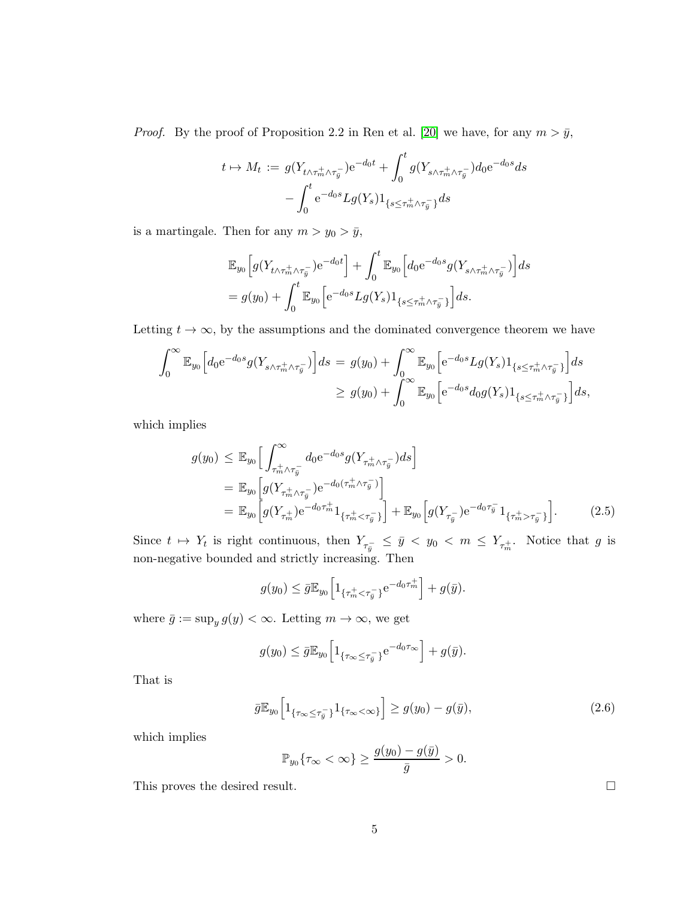*Proof.* By the proof of Proposition 2.2 in Ren et al. [\[20\]](#page-13-9) we have, for any  $m > \bar{y}$ ,

$$
t \mapsto M_t := g(Y_{t \wedge \tau_m^+ \wedge \tau_{\bar{y}}^-}) e^{-d_0 t} + \int_0^t g(Y_{s \wedge \tau_m^+ \wedge \tau_{\bar{y}}^-}) d_0 e^{-d_0 s} ds
$$

$$
- \int_0^t e^{-d_0 s} L g(Y_s) 1_{\{s \leq \tau_m^+ \wedge \tau_{\bar{y}}^- \}} ds
$$

is a martingale. Then for any  $m > y_0 > \bar{y}$ ,

$$
\mathbb{E}_{y_0}\Big[g(Y_{t\wedge\tau_m^+\wedge\tau_{\bar{y}}^-})\mathrm{e}^{-d_0t}\Big] + \int_0^t \mathbb{E}_{y_0}\Big[d_0\mathrm{e}^{-d_0s}g(Y_{s\wedge\tau_m^+\wedge\tau_{\bar{y}}^-})\Big]ds
$$
  
=  $g(y_0) + \int_0^t \mathbb{E}_{y_0}\Big[\mathrm{e}^{-d_0s}Lg(Y_s)\mathbf{1}_{\{s\leq\tau_m^+\wedge\tau_{\bar{y}}^-\}}\Big]ds.$ 

Letting  $t \to \infty$ , by the assumptions and the dominated convergence theorem we have

$$
\int_0^\infty \mathbb{E}_{y_0} \Big[ d_0 e^{-d_0 s} g(Y_{s \wedge \tau_m^+ \wedge \tau_{\overline{y}}^-}) \Big] ds = g(y_0) + \int_0^\infty \mathbb{E}_{y_0} \Big[ e^{-d_0 s} L g(Y_s) 1_{\{s \le \tau_m^+ \wedge \tau_{\overline{y}}^-\}} \Big] ds
$$
  

$$
\ge g(y_0) + \int_0^\infty \mathbb{E}_{y_0} \Big[ e^{-d_0 s} d_0 g(Y_s) 1_{\{s \le \tau_m^+ \wedge \tau_{\overline{y}}^-\}} \Big] ds,
$$

which implies

$$
g(y_0) \leq \mathbb{E}_{y_0} \Big[ \int_{\tau_m^+ \wedge \tau_{\bar{y}}}^{\infty} d_0 e^{-d_0 s} g(Y_{\tau_m^+ \wedge \tau_{\bar{y}}} ) ds \Big]
$$
  
\n
$$
= \mathbb{E}_{y_0} \Big[ g(Y_{\tau_m^+ \wedge \tau_{\bar{y}}} ) e^{-d_0(\tau_m^+ \wedge \tau_{\bar{y}}^-)} \Big]
$$
  
\n
$$
= \mathbb{E}_{y_0} \Big[ g(Y_{\tau_m^+}) e^{-d_0 \tau_m^+} 1_{\{\tau_m^+ < \tau_{\bar{y}}^- \}} \Big] + \mathbb{E}_{y_0} \Big[ g(Y_{\tau_{\bar{y}}} ) e^{-d_0 \tau_{\bar{y}}} 1_{\{\tau_m^+ > \tau_{\bar{y}}^- \}} \Big].
$$
\n(2.5)

Since  $t \mapsto Y_t$  is right continuous, then  $Y_{\tau_{\bar{y}}^-} \leq \bar{y} < y_0 < m \leq Y_{\tau_{m}^+}$ . Notice that g is non-negative bounded and strictly increasing. Then

$$
g(y_0) \leq \bar{g} \mathbb{E}_{y_0} \Big[ 1_{\{\tau_m^+ < \tau_{\bar{y}}^-\}} e^{-d_0 \tau_m^+} \Big] + g(\bar{y}).
$$

where  $\bar{g} := \sup_y g(y) < \infty$ . Letting  $m \to \infty$ , we get

$$
g(y_0) \leq \bar{g} \mathbb{E}_{y_0} \Big[ 1_{\{\tau_\infty \leq \tau_{\bar{y}}^-\}} e^{-d_0 \tau_\infty} \Big] + g(\bar{y}).
$$

That is

$$
\bar{g}\mathbb{E}_{y_0}\left[1_{\{\tau_\infty \leq \tau_{\bar{y}}^-\}}1_{\{\tau_\infty < \infty\}}\right] \geq g(y_0) - g(\bar{y}),\tag{2.6}
$$

which implies

$$
\mathbb{P}_{y_0}\{\tau_\infty < \infty\} \ge \frac{g(y_0) - g(\bar{y})}{\bar{g}} > 0.
$$

This proves the desired result.  $\Box$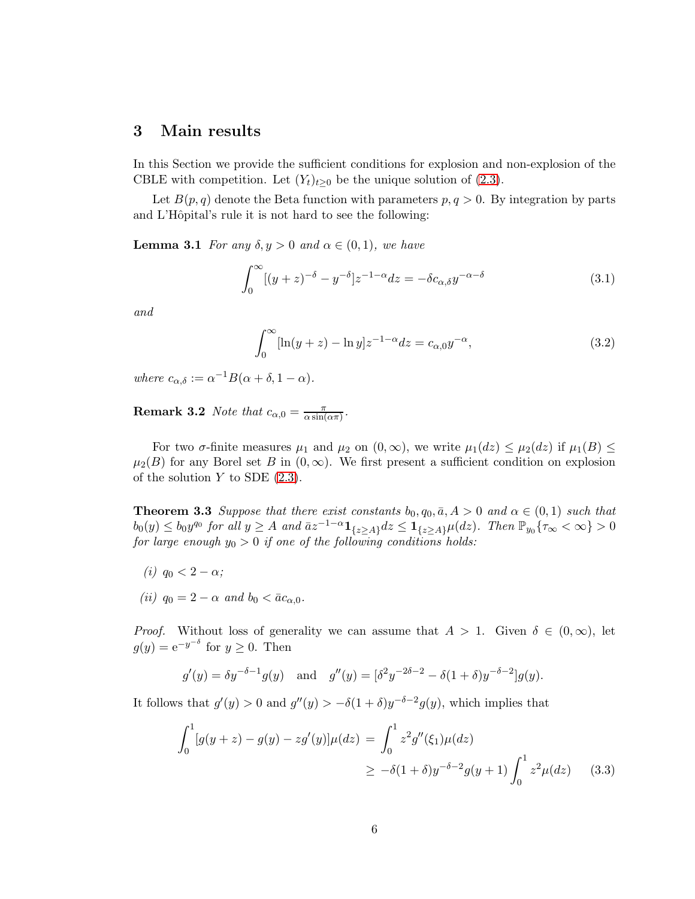### 3 Main results

In this Section we provide the sufficient conditions for explosion and non-explosion of the CBLE with competition. Let  $(Y_t)_{t\geq 0}$  be the unique solution of [\(2.3\)](#page-2-0).

Let  $B(p, q)$  denote the Beta function with parameters  $p, q > 0$ . By integration by parts and L'Hôpital's rule it is not hard to see the following:

**Lemma 3.1** *For any*  $\delta, y > 0$  *and*  $\alpha \in (0, 1)$ *, we have* 

<span id="page-5-0"></span>
$$
\int_0^\infty [(y+z)^{-\delta} - y^{-\delta}] z^{-1-\alpha} dz = -\delta c_{\alpha,\delta} y^{-\alpha-\delta}
$$
\n(3.1)

*and*

<span id="page-5-2"></span>
$$
\int_0^\infty [\ln(y+z) - \ln y] z^{-1-\alpha} dz = c_{\alpha,0} y^{-\alpha},
$$
\n(3.2)

*where*  $c_{\alpha,\delta} := \alpha^{-1}B(\alpha + \delta, 1 - \alpha)$ *.* 

**Remark 3.2** *Note that*  $c_{\alpha,0} = \frac{\pi}{\alpha \sin \theta}$  $\frac{\pi}{\alpha \sin(\alpha \pi)}$ .

<span id="page-5-3"></span>For two  $\sigma$ -finite measures  $\mu_1$  and  $\mu_2$  on  $(0,\infty)$ , we write  $\mu_1(dz) \leq \mu_2(dz)$  if  $\mu_1(B) \leq$  $\mu_2(B)$  for any Borel set B in  $(0,\infty)$ . We first present a sufficient condition on explosion of the solution  $Y$  to SDE  $(2.3)$ .

**Theorem 3.3** *Suppose that there exist constants*  $b_0, q_0, \bar{a}, A > 0$  *and*  $\alpha \in (0, 1)$  *such that*  $b_0(y) \leq b_0 y^{q_0}$  for all  $y \geq A$  and  $\bar{a}z^{-1-\alpha} \mathbf{1}_{\{z \geq A\}} dz \leq \mathbf{1}_{\{z \geq A\}} \mu(dz)$ . Then  $\mathbb{P}_{y_0} \{ \tau_\infty < \infty \} > 0$ *for large enough*  $y_0 > 0$  *if one of the following conditions holds:* 

- *(i)*  $q_0 < 2 \alpha$ *;*
- *(ii)*  $q_0 = 2 \alpha$  *and*  $b_0 < \bar{a}c_{\alpha,0}$ *.*

*Proof.* Without loss of generality we can assume that  $A > 1$ . Given  $\delta \in (0, \infty)$ , let  $g(y) = e^{-y^{-\delta}}$  for  $y \ge 0$ . Then

$$
g'(y) = \delta y^{-\delta - 1} g(y)
$$
 and  $g''(y) = [\delta^2 y^{-2\delta - 2} - \delta (1 + \delta) y^{-\delta - 2}] g(y).$ 

It follows that  $g'(y) > 0$  and  $g''(y) > -\delta(1+\delta)y^{-\delta-2}g(y)$ , which implies that

<span id="page-5-1"></span>
$$
\int_0^1 [g(y+z) - g(y) - zg'(y)]\mu(dz) = \int_0^1 z^2 g''(\xi_1)\mu(dz)
$$
  
 
$$
\geq -\delta(1+\delta)y^{-\delta-2}g(y+1)\int_0^1 z^2 \mu(dz) \qquad (3.3)
$$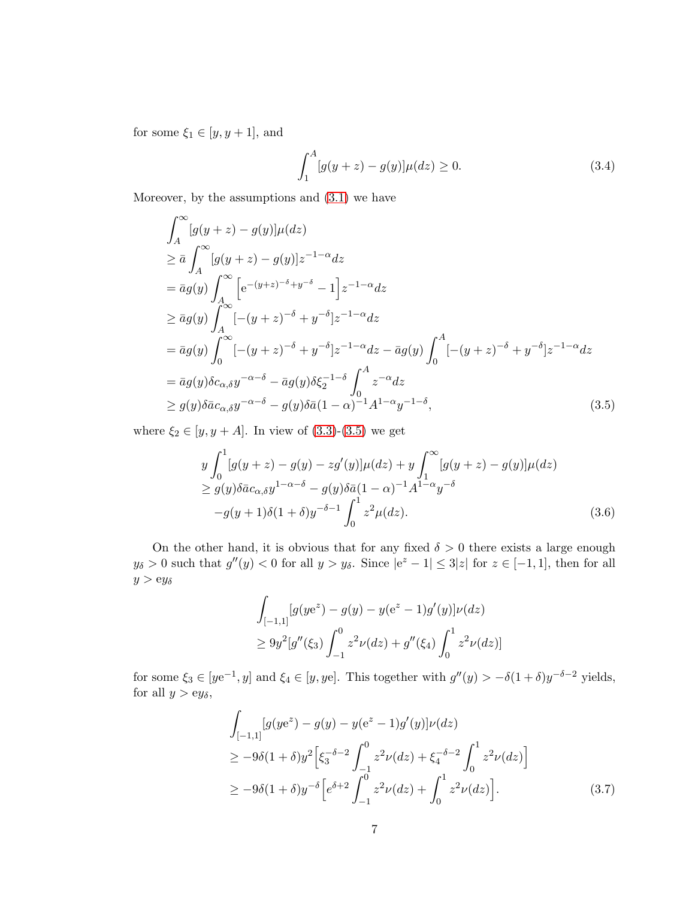for some  $\xi_1 \in [y, y + 1]$ , and

$$
\int_{1}^{A} [g(y+z) - g(y)]\mu(dz) \ge 0.
$$
 (3.4)

Moreover, by the assumptions and  $(3.1)$  we have

<span id="page-6-0"></span>
$$
\int_{A}^{\infty} [g(y+z) - g(y)]\mu(dz)
$$
\n
$$
\geq \bar{a} \int_{A}^{\infty} [g(y+z) - g(y)]z^{-1-\alpha} dz
$$
\n
$$
= \bar{a}g(y) \int_{A}^{\infty} \left[ e^{-(y+z)^{-\delta}+y^{-\delta}} - 1 \right] z^{-1-\alpha} dz
$$
\n
$$
\geq \bar{a}g(y) \int_{A}^{\infty} [-(y+z)^{-\delta}+y^{-\delta}] z^{-1-\alpha} dz
$$
\n
$$
= \bar{a}g(y) \int_{0}^{\infty} [-(y+z)^{-\delta}+y^{-\delta}] z^{-1-\alpha} dz - \bar{a}g(y) \int_{0}^{A} [-(y+z)^{-\delta}+y^{-\delta}] z^{-1-\alpha} dz
$$
\n
$$
= \bar{a}g(y) \delta c_{\alpha,\delta} y^{-\alpha-\delta} - \bar{a}g(y) \delta \xi_2^{-1-\delta} \int_{0}^{A} z^{-\alpha} dz
$$
\n
$$
\geq g(y) \delta \bar{a} c_{\alpha,\delta} y^{-\alpha-\delta} - g(y) \delta \bar{a} (1-\alpha)^{-1} A^{1-\alpha} y^{-1-\delta}, \tag{3.5}
$$

where  $\xi_2 \in [y, y + A]$ . In view of  $(3.3)-(3.5)$  $(3.3)-(3.5)$  we get

<span id="page-6-1"></span>
$$
y \int_0^1 [g(y+z) - g(y) - zg'(y)]\mu(dz) + y \int_1^\infty [g(y+z) - g(y)]\mu(dz)
$$
  
\n
$$
\ge g(y)\delta \bar{a}c_{\alpha,\delta}y^{1-\alpha-\delta} - g(y)\delta \bar{a}(1-\alpha)^{-1}A^{1-\alpha}y^{-\delta}
$$
  
\n
$$
-g(y+1)\delta(1+\delta)y^{-\delta-1}\int_0^1 z^2 \mu(dz).
$$
\n(3.6)

On the other hand, it is obvious that for any fixed  $\delta > 0$  there exists a large enough  $y_{\delta} > 0$  such that  $g''(y) < 0$  for all  $y > y_{\delta}$ . Since  $|e^{z} - 1| \leq 3|z|$  for  $z \in [-1,1]$ , then for all  $y > ey_{\delta}$ 

$$
\int_{[-1,1]} [g(ye^{z}) - g(y) - y(e^{z} - 1)g'(y)]\nu(dz)
$$
  
\n
$$
\geq 9y^{2}[g''(\xi_{3}) \int_{-1}^{0} z^{2}\nu(dz) + g''(\xi_{4}) \int_{0}^{1} z^{2}\nu(dz)]
$$

for some  $\xi_3 \in [ye^{-1}, y]$  and  $\xi_4 \in [y, ye]$ . This together with  $g''(y) > -\delta(1+\delta)y^{-\delta-2}$  yields, for all  $y > ey_{\delta}$ ,

$$
\int_{[-1,1]} [g(ye^{z}) - g(y) - y(e^{z} - 1)g'(y)]\nu(dz)
$$
\n
$$
\geq -9\delta(1+\delta)y^{2} \Big[ \xi_{3}^{-\delta-2} \int_{-1}^{0} z^{2}\nu(dz) + \xi_{4}^{-\delta-2} \int_{0}^{1} z^{2}\nu(dz) \Big]
$$
\n
$$
\geq -9\delta(1+\delta)y^{-\delta} \Big[ e^{\delta+2} \int_{-1}^{0} z^{2}\nu(dz) + \int_{0}^{1} z^{2}\nu(dz) \Big].
$$
\n(3.7)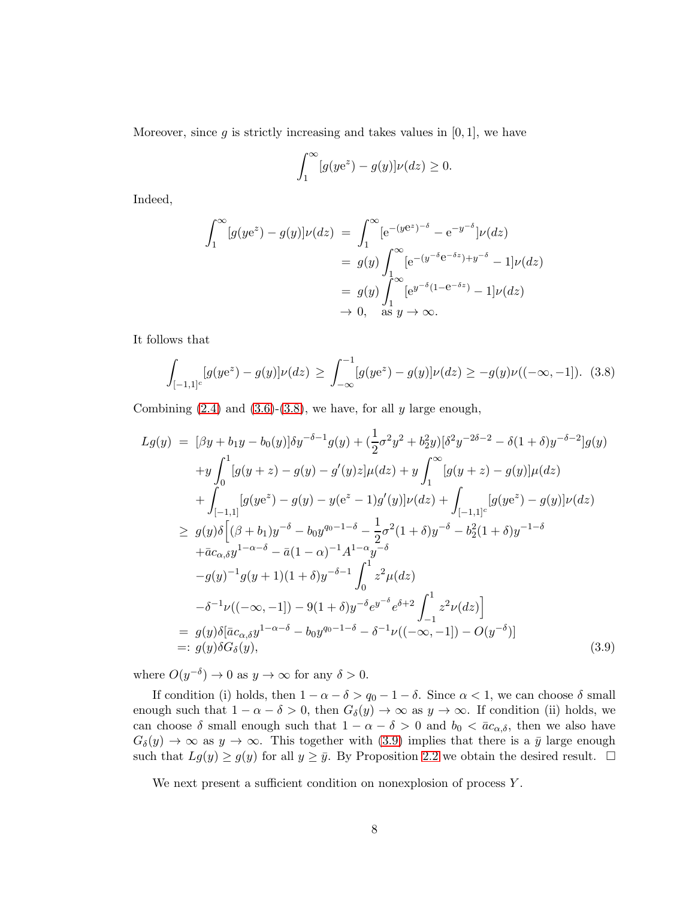Moreover, since  $g$  is strictly increasing and takes values in  $[0, 1]$ , we have

$$
\int_1^{\infty} [g(ye^z) - g(y)] \nu(dz) \ge 0.
$$

Indeed,

$$
\int_{1}^{\infty} [g(ye^{z}) - g(y)]\nu(dz) = \int_{1}^{\infty} [e^{-(ye^{z})^{-\delta}} - e^{-y^{-\delta}}]\nu(dz)
$$
  

$$
= g(y) \int_{1}^{\infty} [e^{-(y^{-\delta}e^{-\delta z}) + y^{-\delta}} - 1]\nu(dz)
$$
  

$$
= g(y) \int_{1}^{\infty} [e^{y^{-\delta}(1 - e^{-\delta z})} - 1]\nu(dz)
$$
  

$$
\to 0, \text{ as } y \to \infty.
$$

It follows that

<span id="page-7-0"></span>
$$
\int_{[-1,1]^{c}} [g(ye^{z}) - g(y)]\nu(dz) \geq \int_{-\infty}^{-1} [g(ye^{z}) - g(y)]\nu(dz) \geq -g(y)\nu((-\infty, -1]). \tag{3.8}
$$

Combining  $(2.4)$  and  $(3.6)-(3.8)$  $(3.6)-(3.8)$ , we have, for all y large enough,

<span id="page-7-1"></span>
$$
Lg(y) = [\beta y + b_1 y - b_0(y)] \delta y^{-\delta - 1} g(y) + (\frac{1}{2}\sigma^2 y^2 + b_2^2 y) [\delta^2 y^{-2\delta - 2} - \delta (1 + \delta) y^{-\delta - 2}] g(y)
$$
  
+
$$
y \int_0^1 [g(y + z) - g(y) - g'(y)z] \mu(dz) + y \int_1^\infty [g(y + z) - g(y)] \mu(dz)
$$
  
+
$$
\int_{[-1,1]} [g(ye^z) - g(y) - y(e^z - 1)g'(y)] \nu(dz) + \int_{[-1,1]c} [g(ye^z) - g(y)] \nu(dz)
$$
  

$$
\geq g(y) \delta [(\beta + b_1) y^{-\delta} - b_0 y^{q_0 - 1 - \delta} - \frac{1}{2}\sigma^2 (1 + \delta) y^{-\delta} - b_2^2 (1 + \delta) y^{-1 - \delta}
$$
  
+
$$
\bar{a}c_{\alpha,\delta} y^{1 - \alpha - \delta} - \bar{a}(1 - \alpha)^{-1} A^{1 - \alpha} y^{-\delta}
$$
  

$$
-g(y)^{-1} g(y + 1) (1 + \delta) y^{-\delta - 1} \int_0^1 z^2 \mu(dz)
$$
  

$$
- \delta^{-1} \nu ((-\infty, -1]) - 9(1 + \delta) y^{-\delta} e^{y - \delta} e^{\delta + 2} \int_{-1}^1 z^2 \nu(dz)]
$$
  
= 
$$
g(y) \delta [\bar{a}c_{\alpha,\delta} y^{1 - \alpha - \delta} - b_0 y^{q_0 - 1 - \delta} - \delta^{-1} \nu((-\infty, -1]) - O(y^{-\delta})]
$$
  
=: 
$$
g(y) \delta G_{\delta}(y), \qquad (3.9)
$$

where  $O(y^{-\delta}) \to 0$  as  $y \to \infty$  for any  $\delta > 0$ .

If condition (i) holds, then  $1 - \alpha - \delta > q_0 - 1 - \delta$ . Since  $\alpha < 1$ , we can choose  $\delta$  small enough such that  $1 - \alpha - \delta > 0$ , then  $G_{\delta}(y) \to \infty$  as  $y \to \infty$ . If condition (ii) holds, we can choose  $\delta$  small enough such that  $1 - \alpha - \delta > 0$  and  $b_0 < \bar{a}c_{\alpha,\delta}$ , then we also have  $G_{\delta}(y) \to \infty$  as  $y \to \infty$ . This together with [\(3.9\)](#page-7-1) implies that there is a  $\bar{y}$  large enough such that  $L_g(y) \ge g(y)$  for all  $y \ge \bar{y}$ . By Proposition [2.2](#page-3-1) we obtain the desired result.  $\Box$ 

<span id="page-7-2"></span>We next present a sufficient condition on nonexplosion of process  $Y$ .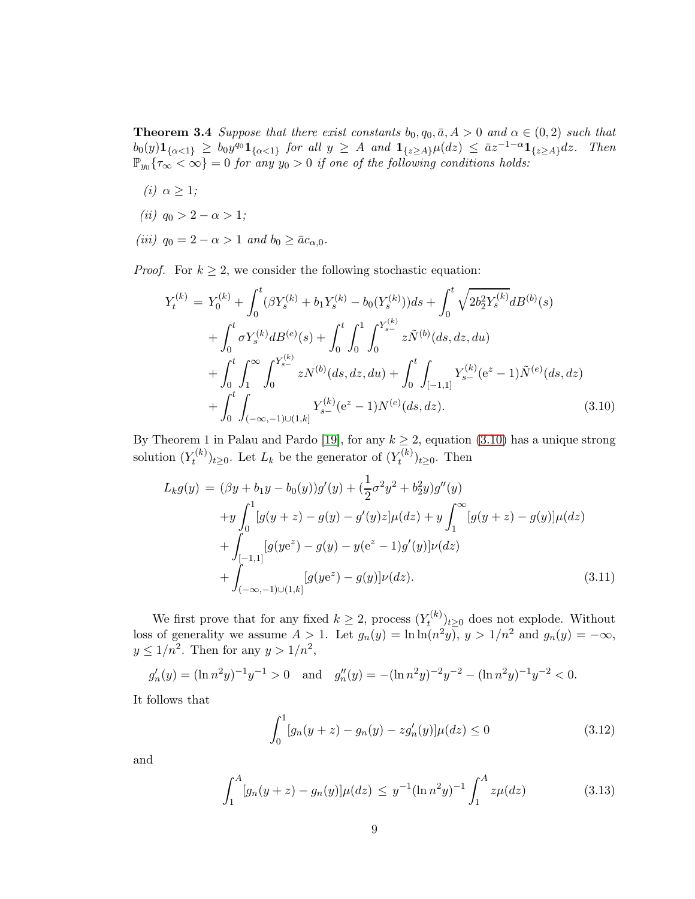**Theorem 3.4** *Suppose that there exist constants*  $b_0, q_0, \bar{a}, A > 0$  *and*  $\alpha \in (0, 2)$  *such that*  $b_0(y) \mathbf{1}_{\{\alpha < 1\}} \geq b_0 y^{q_0} \mathbf{1}_{\{\alpha < 1\}}$  for all  $y \geq A$  and  $\mathbf{1}_{\{z \geq A\}} \mu(dz) \leq \bar{a} z^{-1-\alpha} \mathbf{1}_{\{z \geq A\}} dz$ . Then  $\mathbb{P}_{y_0}\{\tau_\infty<\infty\}=0$  for any  $y_0>0$  if one of the following conditions holds:

- *(i)*  $\alpha \geq 1$ *;*
- *(ii)*  $q_0 > 2 \alpha > 1$ ;
- *(iii)*  $q_0 = 2 \alpha > 1$  *and*  $b_0 \ge \bar{a}c_{\alpha,0}$ *.*

*Proof.* For  $k \geq 2$ , we consider the following stochastic equation:

<span id="page-8-0"></span>
$$
Y_t^{(k)} = Y_0^{(k)} + \int_0^t (\beta Y_s^{(k)} + b_1 Y_s^{(k)} - b_0(Y_s^{(k)}))ds + \int_0^t \sqrt{2b_2^2 Y_s^{(k)}}dB^{(b)}(s) + \int_0^t \sigma Y_s^{(k)}dB^{(e)}(s) + \int_0^t \int_0^1 \int_0^{Y_{s-}^{(k)}} z \tilde{N}^{(b)}(ds, dz, du) + \int_0^t \int_1^\infty \int_0^{Y_{s-}^{(k)}} z N^{(b)}(ds, dz, du) + \int_0^t \int_{[-1,1]} Y_{s-}^{(k)}(e^z - 1)\tilde{N}^{(e)}(ds, dz) + \int_0^t \int_{(-\infty, -1)\cup(1, k]} Y_s^{(k)}(e^z - 1)N^{(e)}(ds, dz).
$$
(3.10)

By Theorem 1 in Palau and Pardo [\[19\]](#page-13-3), for any  $k \geq 2$ , equation [\(3.10\)](#page-8-0) has a unique strong solution  $(Y_t^{(k)}$  $(t_k^{(k)})_{t\geq 0}$ . Let  $L_k$  be the generator of  $(Y_t^{(k)})$  $(t^{(\kappa)})_{t\geq 0}$ . Then

<span id="page-8-2"></span>
$$
L_k g(y) = (\beta y + b_1 y - b_0(y))g'(y) + (\frac{1}{2}\sigma^2 y^2 + b_2^2 y)g''(y)
$$
  
+  $y \int_0^1 [g(y+z) - g(y) - g'(y)z] \mu(dz) + y \int_1^\infty [g(y+z) - g(y)]\mu(dz)$   
+  $\int_{[-1,1]} [g(ye^z) - g(y) - y(e^z - 1)g'(y)]\nu(dz)$   
+  $\int_{(-\infty,-1)\cup(1,k]} [g(ye^z) - g(y)]\nu(dz).$  (3.11)

We first prove that for any fixed  $k \geq 2$ , process  $(Y_t^{(k)}$  $(t^{(k)})_{t\geq 0}$  does not explode. Without loss of generality we assume  $A > 1$ . Let  $g_n(y) = \ln \ln(n^2y)$ ,  $y > 1/n^2$  and  $g_n(y) = -\infty$ ,  $y \leq 1/n^2$ . Then for any  $y > 1/n^2$ ,

 $g'_n(y) = (\ln n^2 y)^{-1} y^{-1} > 0$  and  $g''_n(y) = -(\ln n^2 y)^{-2} y^{-2} - (\ln n^2 y)^{-1} y^{-2} < 0.$ 

It follows that

<span id="page-8-1"></span>
$$
\int_0^1 [g_n(y+z) - g_n(y) - zg'_n(y)]\mu(dz) \le 0
$$
\n(3.12)

and

$$
\int_{1}^{A} [g_n(y+z) - g_n(y)] \mu(dz) \le y^{-1} (\ln n^2 y)^{-1} \int_{1}^{A} z \mu(dz) \tag{3.13}
$$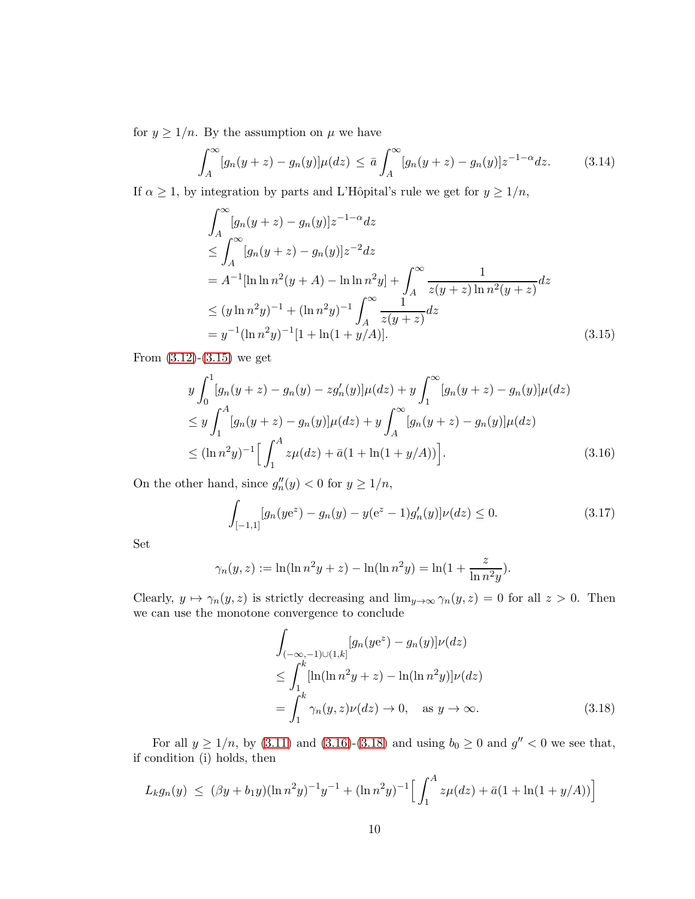for  $y \ge 1/n$ . By the assumption on  $\mu$  we have

<span id="page-9-3"></span>
$$
\int_{A}^{\infty} [g_n(y+z) - g_n(y)] \mu(dz) \leq \bar{a} \int_{A}^{\infty} [g_n(y+z) - g_n(y)] z^{-1-\alpha} dz.
$$
 (3.14)

If  $\alpha \geq 1$ , by integration by parts and L'Hôpital's rule we get for  $y \geq 1/n$ ,

<span id="page-9-0"></span>
$$
\int_{A}^{\infty} [g_n(y+z) - g_n(y)]z^{-1-\alpha} dz
$$
\n
$$
\leq \int_{A}^{\infty} [g_n(y+z) - g_n(y)]z^{-2} dz
$$
\n
$$
= A^{-1}[\ln \ln n^2(y+A) - \ln \ln n^2y] + \int_{A}^{\infty} \frac{1}{z(y+z)\ln n^2(y+z)} dz
$$
\n
$$
\leq (y \ln n^2y)^{-1} + (\ln n^2y)^{-1} \int_{A}^{\infty} \frac{1}{z(y+z)} dz
$$
\n
$$
= y^{-1}(\ln n^2y)^{-1}[1 + \ln(1+y/A)]. \tag{3.15}
$$

From  $(3.12)-(3.15)$  $(3.12)-(3.15)$  we get

<span id="page-9-1"></span>
$$
y \int_0^1 [g_n(y+z) - g_n(y) - zg'_n(y)]\mu(dz) + y \int_1^\infty [g_n(y+z) - g_n(y)]\mu(dz)
$$
  
\n
$$
\leq y \int_1^A [g_n(y+z) - g_n(y)]\mu(dz) + y \int_A^\infty [g_n(y+z) - g_n(y)]\mu(dz)
$$
  
\n
$$
\leq (\ln n^2 y)^{-1} \Big[ \int_1^A z\mu(dz) + \bar{a}(1 + \ln(1 + y/A)) \Big].
$$
\n(3.16)

On the other hand, since  $g''_n(y) < 0$  for  $y \ge 1/n$ ,

<span id="page-9-4"></span>
$$
\int_{[-1,1]} [g_n(ye^z) - g_n(y) - y(e^z - 1)g'_n(y)]\nu(dz) \le 0.
$$
\n(3.17)

Set

$$
\gamma_n(y, z) := \ln(\ln n^2 y + z) - \ln(\ln n^2 y) = \ln(1 + \frac{z}{\ln n^2 y}).
$$

Clearly,  $y \mapsto \gamma_n(y, z)$  is strictly decreasing and  $\lim_{y\to\infty} \gamma_n(y, z) = 0$  for all  $z > 0$ . Then we can use the monotone convergence to conclude

<span id="page-9-2"></span>
$$
\int_{(-\infty,-1)\cup(1,k]} [g_n(ye^z) - g_n(y)]\nu(dz)
$$
\n
$$
\leq \int_1^k [\ln(\ln n^2 y + z) - \ln(\ln n^2 y)]\nu(dz)
$$
\n
$$
= \int_1^k \gamma_n(y,z)\nu(dz) \to 0, \quad \text{as } y \to \infty. \tag{3.18}
$$

For all  $y \ge 1/n$ , by [\(3.11\)](#page-8-2) and [\(3.16\)](#page-9-1)-[\(3.18\)](#page-9-2) and using  $b_0 \ge 0$  and  $g'' < 0$  we see that, if condition (i) holds, then

$$
L_k g_n(y) \leq (\beta y + b_1 y)(\ln n^2 y)^{-1} y^{-1} + (\ln n^2 y)^{-1} \Big[ \int_1^A z \mu(dz) + \bar{a}(1 + \ln(1 + y/A)) \Big]
$$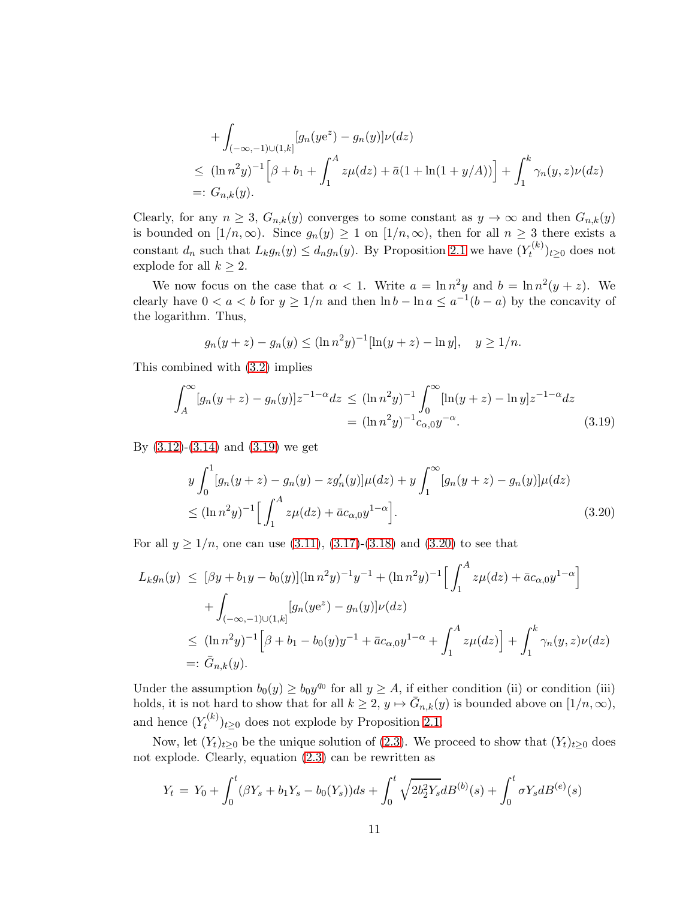+ 
$$
\int_{(-\infty,-1)\cup(1,k]} [g_n(ye^z) - g_n(y)]\nu(dz)
$$
  
\n $\leq (\ln n^2y)^{-1} \Big[\beta + b_1 + \int_1^A z\mu(dz) + \bar{a}(1 + \ln(1 + y/A))\Big] + \int_1^k \gamma_n(y,z)\nu(dz)$   
\n=:  $G_{n,k}(y)$ .

Clearly, for any  $n \geq 3$ ,  $G_{n,k}(y)$  converges to some constant as  $y \to \infty$  and then  $G_{n,k}(y)$ is bounded on  $[1/n,\infty)$ . Since  $g_n(y) \geq 1$  on  $[1/n,\infty)$ , then for all  $n \geq 3$  there exists a constant  $d_n$  such that  $L_k g_n(y) \leq d_n g_n(y)$ . By Proposition [2.1](#page-3-2) we have  $(Y_t^{(k)}$  $(t^{(\kappa)})_{t\geq 0}$  does not explode for all  $k \geq 2$ .

We now focus on the case that  $\alpha < 1$ . Write  $a = \ln n^2 y$  and  $b = \ln n^2 (y + z)$ . We clearly have  $0 < a < b$  for  $y \ge 1/n$  and then  $\ln b - \ln a \le a^{-1}(b-a)$  by the concavity of the logarithm. Thus,

$$
g_n(y+z) - g_n(y) \le (\ln n^2 y)^{-1} [\ln(y+z) - \ln y], \quad y \ge 1/n.
$$

This combined with [\(3.2\)](#page-5-2) implies

<span id="page-10-0"></span>
$$
\int_{A}^{\infty} [g_n(y+z) - g_n(y)] z^{-1-\alpha} dz \le (\ln n^2 y)^{-1} \int_{0}^{\infty} [\ln(y+z) - \ln y] z^{-1-\alpha} dz
$$
  
=  $(\ln n^2 y)^{-1} c_{\alpha,0} y^{-\alpha}.$  (3.19)

By  $(3.12)-(3.14)$  $(3.12)-(3.14)$  and  $(3.19)$  we get

<span id="page-10-1"></span>
$$
y \int_0^1 [g_n(y+z) - g_n(y) - z g'_n(y)] \mu(dz) + y \int_1^\infty [g_n(y+z) - g_n(y)] \mu(dz)
$$
  
 
$$
\le (\ln n^2 y)^{-1} \Big[ \int_1^A z \mu(dz) + \bar{a} c_{\alpha,0} y^{1-\alpha} \Big].
$$
 (3.20)

For all  $y \ge 1/n$ , one can use [\(3.11\)](#page-8-2), [\(3.17\)](#page-9-4)-[\(3.18\)](#page-9-2) and [\(3.20\)](#page-10-1) to see that

$$
L_k g_n(y) \leq [\beta y + b_1 y - b_0(y)] (\ln n^2 y)^{-1} y^{-1} + (\ln n^2 y)^{-1} \Big[ \int_1^A z \mu(dz) + \bar{a} c_{\alpha,0} y^{1-\alpha} \Big] + \int_{(-\infty, -1) \cup (1,k]} [g_n(y e^z) - g_n(y)] \nu(dz) \leq (\ln n^2 y)^{-1} \Big[ \beta + b_1 - b_0(y) y^{-1} + \bar{a} c_{\alpha,0} y^{1-\alpha} + \int_1^A z \mu(dz) \Big] + \int_1^k \gamma_n(y, z) \nu(dz) =: \bar{G}_{n,k}(y).
$$

Under the assumption  $b_0(y) \geq b_0 y^{q_0}$  for all  $y \geq A$ , if either condition (ii) or condition (iii) holds, it is not hard to show that for all  $k \geq 2$ ,  $y \mapsto \overline{G}_{n,k}(y)$  is bounded above on  $[1/n, \infty)$ , and hence  $(Y_t^{(k)}$  $(t^{(k)})_{t\geq0}$  does not explode by Proposition [2.1.](#page-3-2)

Now, let  $(Y_t)_{t\geq0}$  be the unique solution of [\(2.3\)](#page-2-0). We proceed to show that  $(Y_t)_{t\geq0}$  does not explode. Clearly, equation [\(2.3\)](#page-2-0) can be rewritten as

$$
Y_t = Y_0 + \int_0^t (\beta Y_s + b_1 Y_s - b_0(Y_s)) ds + \int_0^t \sqrt{2b_2^2 Y_s} dB^{(b)}(s) + \int_0^t \sigma Y_s dB^{(e)}(s)
$$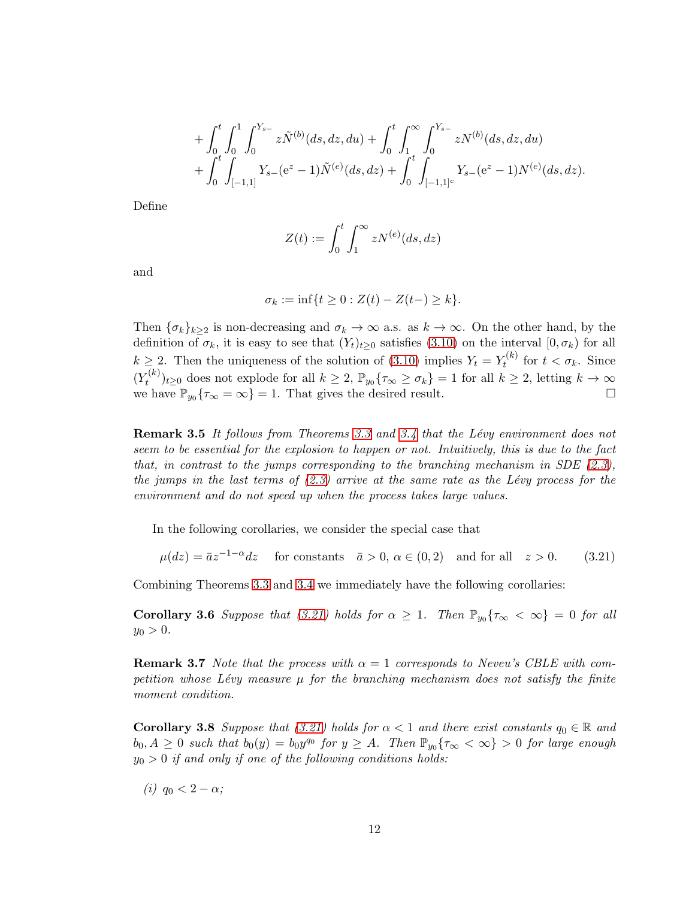$$
+ \int_0^t \int_0^1 \int_0^{Y_{s-}} z \tilde{N}^{(b)}(ds, dz, du) + \int_0^t \int_1^{\infty} \int_0^{Y_{s-}} z N^{(b)}(ds, dz, du) + \int_0^t \int_{[-1,1]} Y_{s-} (e^z - 1) \tilde{N}^{(e)}(ds, dz) + \int_0^t \int_{[-1,1]^c} Y_{s-} (e^z - 1) N^{(e)}(ds, dz).
$$

Define

$$
Z(t) := \int_0^t \int_1^\infty z N^{(e)}(ds, dz)
$$

and

<span id="page-11-0"></span>
$$
\sigma_k := \inf\{t \ge 0 : Z(t) - Z(t-) \ge k\}.
$$

Then  $\{\sigma_k\}_{k>2}$  is non-decreasing and  $\sigma_k \to \infty$  a.s. as  $k \to \infty$ . On the other hand, by the definition of  $\sigma_k$ , it is easy to see that  $(Y_t)_{t>0}$  satisfies [\(3.10\)](#page-8-0) on the interval  $[0, \sigma_k)$  for all  $k \geq 2$ . Then the uniqueness of the solution of [\(3.10\)](#page-8-0) implies  $Y_t = Y_t^{(k)}$  $t_t^{(\kappa)}$  for  $t < \sigma_k$ . Since  $(Y_t^{(k)}$  $(t^{(k)}_t)_{t\geq0}$  does not explode for all  $k\geq 2$ ,  $\mathbb{P}_{y_0}\{\tau_{\infty}\geq\sigma_k\}=1$  for all  $k\geq 2$ , letting  $k\to\infty$ we have  $\mathbb{P}_{y_0}\{\tau_\infty = \infty\} = 1$ . That gives the desired result.

Remark 3.5 *It follows from Theorems [3.3](#page-5-3) and [3.4](#page-7-2) that the L´evy environment does not seem to be essential for the explosion to happen or not. Intuitively, this is due to the fact that, in contrast to the jumps corresponding to the branching mechanism in SDE [\(2.3\)](#page-2-0), the jumps in the last terms of [\(2.3\)](#page-2-0) arrive at the same rate as the L´evy process for the environment and do not speed up when the process takes large values.*

In the following corollaries, we consider the special case that

$$
\mu(dz) = \bar{a}z^{-1-\alpha}dz \quad \text{ for constants} \quad \bar{a} > 0, \, \alpha \in (0,2) \quad \text{and for all} \quad z > 0. \tag{3.21}
$$

Combining Theorems [3.3](#page-5-3) and [3.4](#page-7-2) we immediately have the following corollaries:

**Corollary 3.6** *Suppose that* [\(3.21\)](#page-11-0) *holds for*  $\alpha \geq 1$ *. Then*  $\mathbb{P}_{y_0} \{ \tau_\infty < \infty \} = 0$  *for all*  $y_0 > 0.$ 

**Remark 3.7** *Note that the process with*  $\alpha = 1$  *corresponds to Neveu's CBLE with competition whose Lévy measure*  $\mu$  *for the branching mechanism does not satisfy the finite moment condition.*

<span id="page-11-1"></span>**Corollary 3.8** *Suppose that* [\(3.21\)](#page-11-0) *holds for*  $\alpha < 1$  *and there exist constants*  $q_0 \in \mathbb{R}$  *and*  $b_0, A \geq 0$  such that  $b_0(y) = b_0y^{q_0}$  for  $y \geq A$ . Then  $\mathbb{P}_{y_0} \{ \tau_\infty < \infty \} > 0$  for large enough y<sup>0</sup> > 0 *if and only if one of the following conditions holds:*

*(i)*  $q_0 < 2 - \alpha$ *;*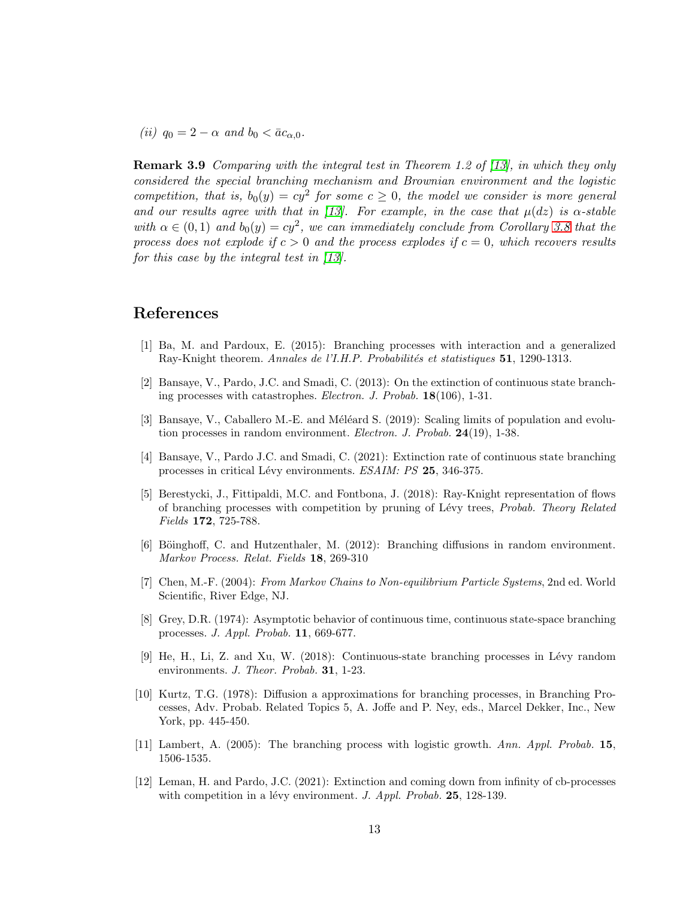*(ii)*  $q_0 = 2 - \alpha$  *and*  $b_0 < \bar{a}c_{\alpha,0}$ *.* 

Remark 3.9 *Comparing with the integral test in Theorem 1.2 of [\[13\]](#page-13-5), in which they only considered the special branching mechanism and Brownian environment and the logistic competition, that is,*  $b_0(y) = cy^2$  *for some*  $c \ge 0$ *, the model we consider is more general and our results agree with that in [\[13\]](#page-13-5). For example, in the case that*  $\mu(dz)$  *is*  $\alpha$ -stable with  $\alpha \in (0,1)$  and  $b_0(y) = cy^2$ , we can immediately conclude from Corollary [3.8](#page-11-1) that the *process does not explode if*  $c > 0$  *and the process explodes if*  $c = 0$ *, which recovers results for this case by the integral test in [\[13\]](#page-13-5).*

#### <span id="page-12-7"></span>References

- [1] Ba, M. and Pardoux, E. (2015): Branching processes with interaction and a generalized Ray-Knight theorem. *Annales de l'I.H.P. Probabilités et statistiques* 51, 1290-1313.
- <span id="page-12-2"></span>[2] Bansaye, V., Pardo, J.C. and Smadi, C. (2013): On the extinction of continuous state branching processes with catastrophes. *Electron. J. Probab.* 18(106), 1-31.
- <span id="page-12-4"></span>[3] Bansaye, V., Caballero M.-E. and Méléard S.  $(2019)$ : Scaling limits of population and evolution processes in random environment. *Electron. J. Probab.* 24(19), 1-38.
- <span id="page-12-8"></span><span id="page-12-5"></span>[4] Bansaye, V., Pardo J.C. and Smadi, C. (2021): Extinction rate of continuous state branching processes in critical L´evy environments. *ESAIM: PS* 25, 346-375.
- [5] Berestycki, J., Fittipaldi, M.C. and Fontbona, J. (2018): Ray-Knight representation of flows of branching processes with competition by pruning of L´evy trees, *Probab. Theory Related Fields* 172, 725-788.
- <span id="page-12-1"></span>[6] Böinghoff, C. and Hutzenthaler, M. (2012): Branching diffusions in random environment. *Markov Process. Relat. Fields* 18, 269-310
- <span id="page-12-11"></span>[7] Chen, M.-F. (2004): *From Markov Chains to Non-equilibrium Particle Systems*, 2nd ed. World Scientific, River Edge, NJ.
- <span id="page-12-10"></span>[8] Grey, D.R. (1974): Asymptotic behavior of continuous time, continuous state-space branching processes. *J. Appl. Probab.* 11, 669-677.
- <span id="page-12-3"></span>[9] He, H., Li, Z. and Xu, W. (2018): Continuous-state branching processes in Lévy random environments. *J. Theor. Probab.* 31, 1-23.
- <span id="page-12-0"></span>[10] Kurtz, T.G. (1978): Diffusion a approximations for branching processes, in Branching Processes, Adv. Probab. Related Topics 5, A. Joffe and P. Ney, eds., Marcel Dekker, Inc., New York, pp. 445-450.
- <span id="page-12-9"></span><span id="page-12-6"></span>[11] Lambert, A. (2005): The branching process with logistic growth. *Ann. Appl. Probab.* 15, 1506-1535.
- [12] Leman, H. and Pardo, J.C. (2021): Extinction and coming down from infinity of cb-processes with competition in a lévy environment. *J. Appl. Probab.* **25**, 128-139.